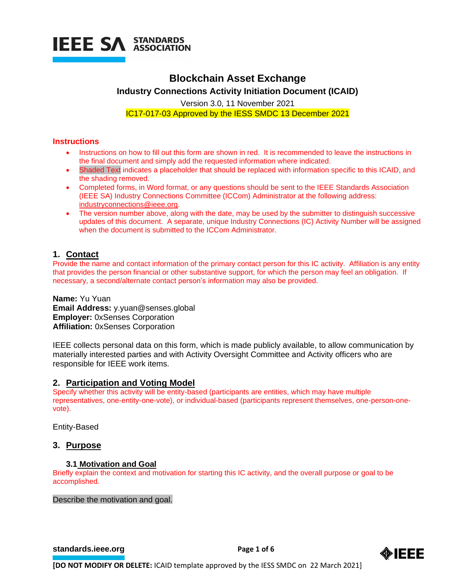

# **Blockchain Asset Exchange**

**Industry Connections Activity Initiation Document (ICAID)**

Version 3.0, 11 November 2021 IC17-017-03 Approved by the IESS SMDC 13 December 2021

# **Instructions**

- Instructions on how to fill out this form are shown in red. It is recommended to leave the instructions in the final document and simply add the requested information where indicated.
- Shaded Text indicates a placeholder that should be replaced with information specific to this ICAID, and the shading removed.
- Completed forms, in Word format, or any questions should be sent to the IEEE Standards Association (IEEE SA) Industry Connections Committee (ICCom) Administrator at the following address: [industryconnections@ieee.org.](mailto:industryconnections@ieee.org)
- The version number above, along with the date, may be used by the submitter to distinguish successive updates of this document. A separate, unique Industry Connections (IC) Activity Number will be assigned when the document is submitted to the ICCom Administrator.

# **1. Contact**

Provide the name and contact information of the primary contact person for this IC activity. Affiliation is any entity that provides the person financial or other substantive support, for which the person may feel an obligation. If necessary, a second/alternate contact person's information may also be provided.

**Name:** Yu Yuan **Email Address:** y.yuan@senses.global **Employer:** 0xSenses Corporation **Affiliation:** 0xSenses Corporation

IEEE collects personal data on this form, which is made publicly available, to allow communication by materially interested parties and with Activity Oversight Committee and Activity officers who are responsible for IEEE work items.

# **2. Participation and Voting Model**

Specify whether this activity will be entity-based (participants are entities, which may have multiple representatives, one-entity-one-vote), or individual-based (participants represent themselves, one-person-onevote).

Entity-Based

# **3. Purpose**

# **3.1 Motivation and Goal**

Briefly explain the context and motivation for starting this IC activity, and the overall purpose or goal to be accomplished.

Describe the motivation and goal.

**[standards.ieee.org](http://standards.ieee.org/) EXECUTE: Page 1 of 6** 

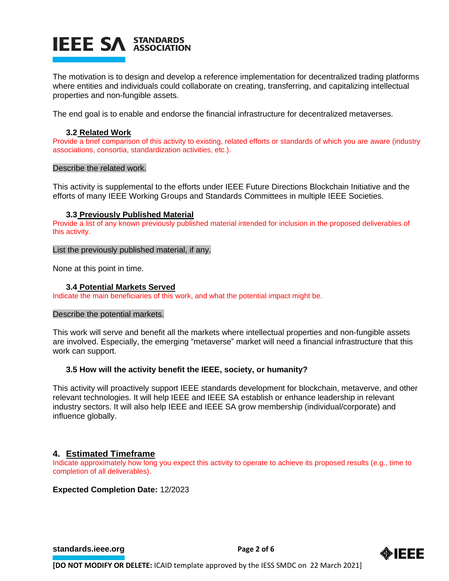# **IEEE SA STANDARDS**

The motivation is to design and develop a reference implementation for decentralized trading platforms where entities and individuals could collaborate on creating, transferring, and capitalizing intellectual properties and non-fungible assets.

The end goal is to enable and endorse the financial infrastructure for decentralized metaverses.

# **3.2 Related Work**

Provide a brief comparison of this activity to existing, related efforts or standards of which you are aware (industry associations, consortia, standardization activities, etc.).

### Describe the related work.

This activity is supplemental to the efforts under IEEE Future Directions Blockchain Initiative and the efforts of many IEEE Working Groups and Standards Committees in multiple IEEE Societies.

# **3.3 Previously Published Material**

Provide a list of any known previously published material intended for inclusion in the proposed deliverables of this activity.

# List the previously published material, if any.

None at this point in time.

# **3.4 Potential Markets Served**

Indicate the main beneficiaries of this work, and what the potential impact might be.

#### Describe the potential markets.

This work will serve and benefit all the markets where intellectual properties and non-fungible assets are involved. Especially, the emerging "metaverse" market will need a financial infrastructure that this work can support.

# **3.5 How will the activity benefit the IEEE, society, or humanity?**

This activity will proactively support IEEE standards development for blockchain, metaverve, and other relevant technologies. It will help IEEE and IEEE SA establish or enhance leadership in relevant industry sectors. It will also help IEEE and IEEE SA grow membership (individual/corporate) and influence globally.

# **4. Estimated Timeframe**

Indicate approximately how long you expect this activity to operate to achieve its proposed results (e.g., time to completion of all deliverables).

# **Expected Completion Date:** 12/2023

**[standards.ieee.org](http://standards.ieee.org/) EXECUTE: Page 2 of 6** 

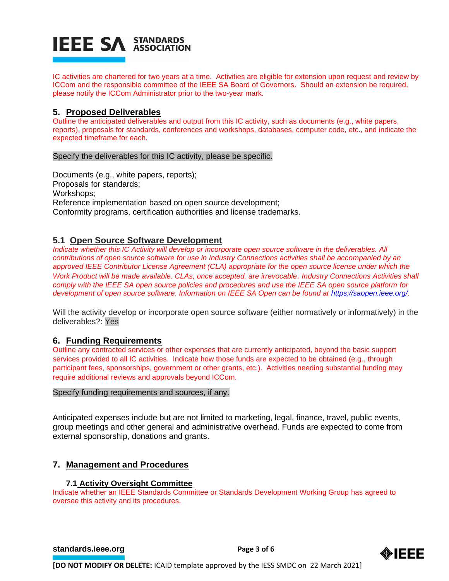# **IEEE SA STANDARDS**

IC activities are chartered for two years at a time. Activities are eligible for extension upon request and review by ICCom and the responsible committee of the IEEE SA Board of Governors. Should an extension be required, please notify the ICCom Administrator prior to the two-year mark.

# **5. Proposed Deliverables**

Outline the anticipated deliverables and output from this IC activity, such as documents (e.g., white papers, reports), proposals for standards, conferences and workshops, databases, computer code, etc., and indicate the expected timeframe for each.

### Specify the deliverables for this IC activity, please be specific.

Documents (e.g., white papers, reports); Proposals for standards; Workshops; Reference implementation based on open source development; Conformity programs, certification authorities and license trademarks.

# **5.1 Open Source Software Development**

*Indicate whether this IC Activity will develop or incorporate open source software in the deliverables. All contributions of open source software for use in Industry Connections activities shall be accompanied by an approved IEEE Contributor License Agreement (CLA) appropriate for the open source license under which the Work Product will be made available. CLAs, once accepted, are irrevocable. Industry Connections Activities shall comply with the IEEE SA open source policies and procedures and use the IEEE SA open source platform for development of open source software. Information on IEEE SA Open can be found at [https://saopen.ieee.org/.](https://saopen.ieee.org/)* 

Will the activity develop or incorporate open source software (either normatively or informatively) in the deliverables?: Yes

# **6. Funding Requirements**

Outline any contracted services or other expenses that are currently anticipated, beyond the basic support services provided to all IC activities. Indicate how those funds are expected to be obtained (e.g., through participant fees, sponsorships, government or other grants, etc.). Activities needing substantial funding may require additional reviews and approvals beyond ICCom.

#### Specify funding requirements and sources, if any.

Anticipated expenses include but are not limited to marketing, legal, finance, travel, public events, group meetings and other general and administrative overhead. Funds are expected to come from external sponsorship, donations and grants.

# **7. Management and Procedures**

# **7.1 Activity Oversight Committee**

Indicate whether an IEEE Standards Committee or Standards Development Working Group has agreed to oversee this activity and its procedures.

#### **[standards.ieee.org](http://standards.ieee.org/)**<br> **Page 3 of 6**

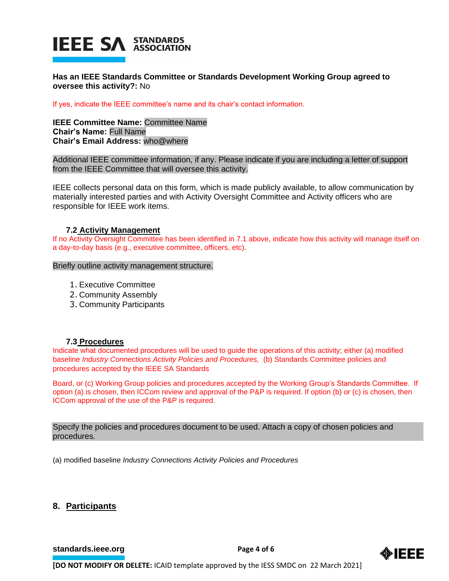

**Has an IEEE Standards Committee or Standards Development Working Group agreed to oversee this activity?:** No

If yes, indicate the IEEE committee's name and its chair's contact information.

**IEEE Committee Name:** Committee Name **Chair's Name:** Full Name **Chair's Email Address:** who@where

Additional IEEE committee information, if any. Please indicate if you are including a letter of support from the IEEE Committee that will oversee this activity.

IEEE collects personal data on this form, which is made publicly available, to allow communication by materially interested parties and with Activity Oversight Committee and Activity officers who are responsible for IEEE work items.

#### **7.2 Activity Management**

If no Activity Oversight Committee has been identified in 7.1 above, indicate how this activity will manage itself on a day-to-day basis (e.g., executive committee, officers, etc).

Briefly outline activity management structure.

- 1. Executive Committee
- 2. Community Assembly
- 3. Community Participants

#### **7.3 Procedures**

Indicate what documented procedures will be used to guide the operations of this activity; either (a) modified baseline *Industry Connections Activity Policies and Procedures,* (b) Standards Committee policies and procedures accepted by the IEEE SA Standards

Board, or (c) Working Group policies and procedures accepted by the Working Group's Standards Committee. If option (a) is chosen, then ICCom review and approval of the P&P is required. If option (b) or (c) is chosen, then ICCom approval of the use of the P&P is required.

Specify the policies and procedures document to be used. Attach a copy of chosen policies and procedures.

(a) modified baseline *Industry Connections Activity Policies and Procedures*

# **8. Participants**

**[standards.ieee.org](http://standards.ieee.org/) Page 4 of 6** 

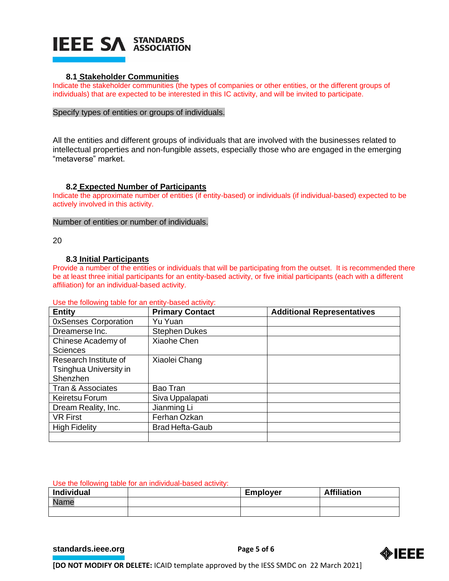

### **8.1 Stakeholder Communities**

Indicate the stakeholder communities (the types of companies or other entities, or the different groups of individuals) that are expected to be interested in this IC activity, and will be invited to participate.

#### Specify types of entities or groups of individuals.

All the entities and different groups of individuals that are involved with the businesses related to intellectual properties and non-fungible assets, especially those who are engaged in the emerging "metaverse" market.

### **8.2 Expected Number of Participants**

Indicate the approximate number of entities (if entity-based) or individuals (if individual-based) expected to be actively involved in this activity.

#### Number of entities or number of individuals.

20

### **8.3 Initial Participants**

Provide a number of the entities or individuals that will be participating from the outset. It is recommended there be at least three initial participants for an entity-based activity, or five initial participants (each with a different affiliation) for an individual-based activity.

| <b>Entity</b>               | <b>Primary Contact</b> | <b>Additional Representatives</b> |
|-----------------------------|------------------------|-----------------------------------|
| <b>OxSenses Corporation</b> | Yu Yuan                |                                   |
| Dreamerse Inc.              | <b>Stephen Dukes</b>   |                                   |
| Chinese Academy of          | Xiaohe Chen            |                                   |
| <b>Sciences</b>             |                        |                                   |
| Research Institute of       | Xiaolei Chang          |                                   |
| Tsinghua University in      |                        |                                   |
| Shenzhen                    |                        |                                   |
| Tran & Associates           | Bao Tran               |                                   |
| Keiretsu Forum              | Siva Uppalapati        |                                   |
| Dream Reality, Inc.         | Jianming Li            |                                   |
| <b>VR First</b>             | Ferhan Ozkan           |                                   |
| <b>High Fidelity</b>        | <b>Brad Hefta-Gaub</b> |                                   |
|                             |                        |                                   |

#### Use the following table for an entity-based activity:

#### Use the following table for an individual-based activity:

| <b>Individual</b> | <b>Employer</b> | <b>Affiliation</b> |
|-------------------|-----------------|--------------------|
| Nome<br>adille –  |                 |                    |
|                   |                 |                    |

**[standards.ieee.org](http://standards.ieee.org/) EXECUTE: Page 5 of 6**